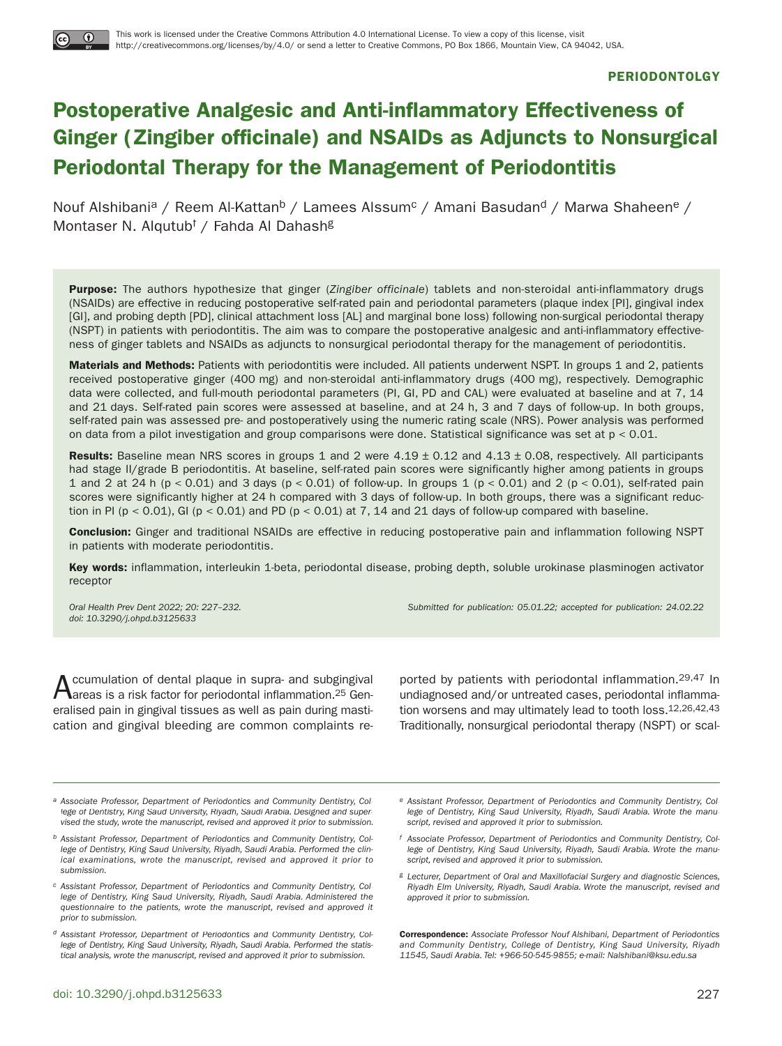#### **PERIODONTOLGY**

# **Postoperative Analgesic and Anti-inflammatory Effectiveness of Ginger (Zingiber officinale) and NSAIDs as Adjuncts to Nonsurgical Periodontal Therapy for the Management of Periodontitis**

Nouf Alshibani<sup>a</sup> / Reem Al-Kattan<sup>b</sup> / Lamees Alssum<sup>c</sup> / Amani Basudan<sup>d</sup> / Marwa Shaheen<sup>e</sup> / Montaser N. Alqutubf / Fahda Al Dahash<sup>g</sup>

**Purpose:** The authors hypothesize that ginger (Zingiber officinale) tablets and non-steroidal anti-inflammatory drugs (NSAIDs) are effective in reducing postoperative self-rated pain and periodontal parameters (plaque index [PI], gingival index [GI], and probing depth [PD], clinical attachment loss [AL] and marginal bone loss) following non-surgical periodontal therapy (NSPT) in patients with periodontitis. The aim was to compare the postoperative analgesic and anti-inflammatory effectiveness of ginger tablets and NSAIDs as adjuncts to nonsurgical periodontal therapy for the management of periodontitis.

**Materials and Methods:** Patients with periodontitis were included. All patients underwent NSPT. In groups 1 and 2, patients received postoperative ginger (400 mg) and non-steroidal anti-inflammatory drugs (400 mg), respectively. Demographic data were collected, and full-mouth periodontal parameters (PI, GI, PD and CAL) were evaluated at baseline and at 7, 14 and 21 days. Self-rated pain scores were assessed at baseline, and at 24 h, 3 and 7 days of follow-up. In both groups, self-rated pain was assessed pre- and postoperatively using the numeric rating scale (NRS). Power analysis was performed on data from a pilot investigation and group comparisons were done. Statistical significance was set at  $p < 0.01$ .

**Results:** Baseline mean NRS scores in groups 1 and 2 were 4.19 ± 0.12 and 4.13 ± 0.08, respectively. All participants had stage II/grade B periodontitis. At baseline, self-rated pain scores were significantly higher among patients in groups 1 and 2 at 24 h (p < 0.01) and 3 days (p < 0.01) of follow-up. In groups 1 (p < 0.01) and 2 (p < 0.01), self-rated pain scores were significantly higher at 24 h compared with 3 days of follow-up. In both groups, there was a significant reduction in PI ( $p < 0.01$ ), GI ( $p < 0.01$ ) and PD ( $p < 0.01$ ) at 7, 14 and 21 days of follow-up compared with baseline.

**Conclusion:** Ginger and traditional NSAIDs are effective in reducing postoperative pain and inflammation following NSPT in patients with moderate periodontitis.

**Key words:** inflammation, interleukin 1-beta, periodontal disease, probing depth, soluble urokinase plasminogen activator receptor

doi: 10.3290/j.ohpd.b3125633

Oral Health Prev Dent 2022; 20: 227–232. Submitted for publication: 05.01.22; accepted for publication: 24.02.22

 $A$ ccumulation of dental plaque in supra- and subgingival<br>areas is a risk factor for periodontal inflammation.<sup>25</sup> Generalised pain in gingival tissues as well as pain during mastication and gingival bleeding are common complaints re-

ported by patients with periodontal inflammation.29,47 In undiagnosed and/or untreated cases, periodontal inflammation worsens and may ultimately lead to tooth loss.12,26,42,43 Traditionally, nonsurgical periodontal therapy (NSPT) or scal-

- a Associate Professor, Department of Periodontics and Community Dentistry, College of Dentistry, King Saud University, Riyadh, Saudi Arabia. Designed and supervised the study, wrote the manuscript, revised and approved it prior to submission.
- b Assistant Professor, Department of Periodontics and Community Dentistry, College of Dentistry, King Saud University, Riyadh, Saudi Arabia. Performed the clinical examinations, wrote the manuscript, revised and approved it prior to submission.
- c Assistant Professor, Department of Periodontics and Community Dentistry, College of Dentistry, King Saud University, Riyadh, Saudi Arabia. Administered the questionnaire to the patients, wrote the manuscript, revised and approved it prior to submission.
- d Assistant Professor, Department of Periodontics and Community Dentistry, College of Dentistry, King Saud University, Riyadh, Saudi Arabia. Performed the statistical analysis, wrote the manuscript, revised and approved it prior to submission.
- e Assistant Professor, Department of Periodontics and Community Dentistry, College of Dentistry, King Saud University, Riyadh, Saudi Arabia. Wrote the manuscript, revised and approved it prior to submission.
- f Associate Professor, Department of Periodontics and Community Dentistry, College of Dentistry, King Saud University, Riyadh, Saudi Arabia. Wrote the manuscript, revised and approved it prior to submission.
- g Lecturer, Department of Oral and Maxillofacial Surgery and diagnostic Sciences, Riyadh Elm University, Riyadh, Saudi Arabia. Wrote the manuscript, revised and approved it prior to submission.

**Correspondence:** Associate Professor Nouf Alshibani, Department of Periodontics and Community Dentistry, College of Dentistry, King Saud University, Riyadh 11545, Saudi Arabia. Tel: +966-50-545-9855; e-mail: Nalshibani@ksu.edu.sa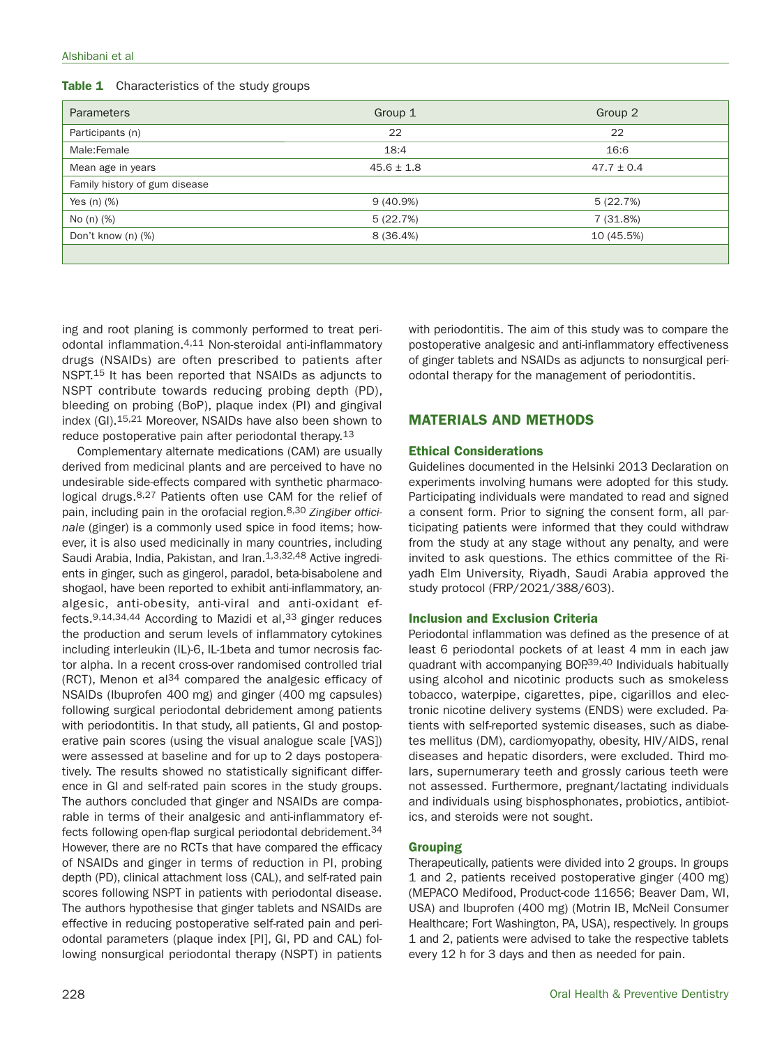| Table 1 | Characteristics of the study groups |  |  |  |
|---------|-------------------------------------|--|--|--|
|---------|-------------------------------------|--|--|--|

| <b>Parameters</b>             | Group 1        | Group 2        |
|-------------------------------|----------------|----------------|
| Participants (n)              | 22             | 22             |
| Male:Female                   | 18:4           | 16:6           |
| Mean age in years             | $45.6 \pm 1.8$ | $47.7 \pm 0.4$ |
| Family history of gum disease |                |                |
| Yes $(n)$ $(\%)$              | $9(40.9\%)$    | 5(22.7%)       |
| No (n) (%)                    | 5(22.7%)       | 7 (31.8%)      |
| Don't know (n) (%)            | 8 (36.4%)      | 10 (45.5%)     |
|                               |                |                |

ing and root planing is commonly performed to treat periodontal inflammation.4,11 Non-steroidal anti-inflammatory drugs (NSAIDs) are often prescribed to patients after NSPT.<sup>15</sup> It has been reported that NSAIDs as adjuncts to NSPT contribute towards reducing probing depth (PD), bleeding on probing (BoP), plaque index (PI) and gingival index (GI).15,21 Moreover, NSAIDs have also been shown to reduce postoperative pain after periodontal therapy.<sup>13</sup>

Complementary alternate medications (CAM) are usually derived from medicinal plants and are perceived to have no undesirable side-effects compared with synthetic pharmacological drugs.<sup>8,27</sup> Patients often use CAM for the relief of pain, including pain in the orofacial region.<sup>8,30</sup> Zingiber officinale (ginger) is a commonly used spice in food items; however, it is also used medicinally in many countries, including Saudi Arabia, India, Pakistan, and Iran.<sup>1,3,32,48</sup> Active ingredients in ginger, such as gingerol, paradol, beta-bisabolene and shogaol, have been reported to exhibit anti-inflammatory, analgesic, anti-obesity, anti-viral and anti-oxidant effects.  $9,14,34,44$  According to Mazidi et al,  $33$  ginger reduces the production and serum levels of inflammatory cytokines including interleukin (IL)-6, IL-1beta and tumor necrosis factor alpha. In a recent cross-over randomised controlled trial (RCT), Menon et al $^{34}$  compared the analgesic efficacy of NSAIDs (Ibuprofen 400 mg) and ginger (400 mg capsules) following surgical periodontal debridement among patients with periodontitis. In that study, all patients, GI and postoperative pain scores (using the visual analogue scale [VAS]) were assessed at baseline and for up to 2 days postoperatively. The results showed no statistically significant difference in GI and self-rated pain scores in the study groups. The authors concluded that ginger and NSAIDs are comparable in terms of their analgesic and anti-inflammatory effects following open-flap surgical periodontal debridement.<sup>34</sup> However, there are no RCTs that have compared the efficacy of NSAIDs and ginger in terms of reduction in PI, probing depth (PD), clinical attachment loss (CAL), and self-rated pain scores following NSPT in patients with periodontal disease. The authors hypothesise that ginger tablets and NSAIDs are effective in reducing postoperative self-rated pain and periodontal parameters (plaque index [PI], GI, PD and CAL) following nonsurgical periodontal therapy (NSPT) in patients

with periodontitis. The aim of this study was to compare the postoperative analgesic and anti-inflammatory effectiveness of ginger tablets and NSAIDs as adjuncts to nonsurgical periodontal therapy for the management of periodontitis.

# **MATERIALS AND METHODS**

# **Ethical Considerations**

Guidelines documented in the Helsinki 2013 Declaration on experiments involving humans were adopted for this study. Participating individuals were mandated to read and signed a consent form. Prior to signing the consent form, all participating patients were informed that they could withdraw from the study at any stage without any penalty, and were invited to ask questions. The ethics committee of the Riyadh Elm University, Riyadh, Saudi Arabia approved the study protocol (FRP/2021/388/603).

# **Inclusion and Exclusion Criteria**

Periodontal inflammation was defined as the presence of at least 6 periodontal pockets of at least 4 mm in each jaw quadrant with accompanying BOP.39,40 Individuals habitually using alcohol and nicotinic products such as smokeless tobacco, waterpipe, cigarettes, pipe, cigarillos and electronic nicotine delivery systems (ENDS) were excluded. Patients with self-reported systemic diseases, such as diabetes mellitus (DM), cardiomyopathy, obesity, HIV/AIDS, renal diseases and hepatic disorders, were excluded. Third molars, supernumerary teeth and grossly carious teeth were not assessed. Furthermore, pregnant/lactating individuals and individuals using bisphosphonates, probiotics, antibiotics, and steroids were not sought.

# **Grouping**

Therapeutically, patients were divided into 2 groups. In groups 1 and 2, patients received postoperative ginger (400 mg) (MEPACO Medifood, Product-code 11656; Beaver Dam, WI, USA) and Ibuprofen (400 mg) (Motrin IB, McNeil Consumer Healthcare; Fort Washington, PA, USA), respectively. In groups 1 and 2, patients were advised to take the respective tablets every 12 h for 3 days and then as needed for pain.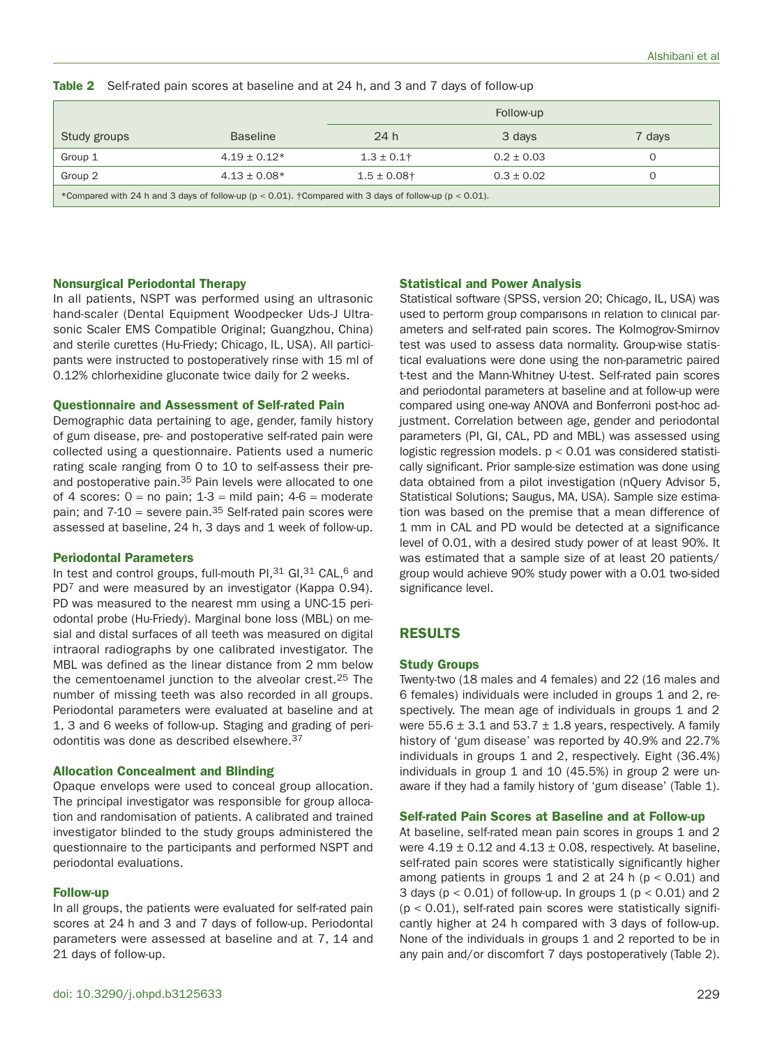|  | Table 2 Self-rated pain scores at baseline and at 24 h, and 3 and 7 days of follow-up |  |  |  |  |
|--|---------------------------------------------------------------------------------------|--|--|--|--|
|--|---------------------------------------------------------------------------------------|--|--|--|--|

|                                                                                                                |                  | Follow-up        |                |        |  |
|----------------------------------------------------------------------------------------------------------------|------------------|------------------|----------------|--------|--|
| Study groups                                                                                                   | <b>Baseline</b>  | 24 h             | 3 days         | 7 days |  |
| Group 1                                                                                                        | $4.19 \pm 0.12*$ | $1.3 \pm 0.1$ †  | $0.2 \pm 0.03$ | O      |  |
| Group 2                                                                                                        | $4.13 \pm 0.08*$ | $1.5 \pm 0.08$ † | $0.3 \pm 0.02$ |        |  |
| *Compared with 24 h and 3 days of follow-up ( $p < 0.01$ ). †Compared with 3 days of follow-up ( $p < 0.01$ ). |                  |                  |                |        |  |

#### **Nonsurgical Periodontal Therapy**

In all patients, NSPT was performed using an ultrasonic hand-scaler (Dental Equipment Woodpecker Uds-J Ultrasonic Scaler EMS Compatible Original; Guangzhou, China) and sterile curettes (Hu-Friedy; Chicago, IL, USA). All participants were instructed to postoperatively rinse with 15 ml of 0.12% chlorhexidine gluconate twice daily for 2 weeks.

### **Questionnaire and Assessment of Self-rated Pain**

Demographic data pertaining to age, gender, family history of gum disease, pre- and postoperative self-rated pain were collected using a questionnaire. Patients used a numeric rating scale ranging from 0 to 10 to self-assess their preand postoperative pain.35 Pain levels were allocated to one of 4 scores:  $0 = no$  pain;  $1-3 = mid$  pain;  $4-6 = moderate$ pain; and  $7-10$  = severe pain.<sup>35</sup> Self-rated pain scores were assessed at baseline, 24 h, 3 days and 1 week of follow-up.

## **Periodontal Parameters**

In test and control groups, full-mouth PI, 31 GI, 31 CAL, 6 and PD<sup>7</sup> and were measured by an investigator (Kappa 0.94). PD was measured to the nearest mm using a UNC-15 periodontal probe (Hu-Friedy). Marginal bone loss (MBL) on mesial and distal surfaces of all teeth was measured on digital intraoral radiographs by one calibrated investigator. The MBL was defined as the linear distance from 2 mm below the cementoenamel junction to the alveolar crest.<sup>25</sup> The number of missing teeth was also recorded in all groups. Periodontal parameters were evaluated at baseline and at 1, 3 and 6 weeks of follow-up. Staging and grading of periodontitis was done as described elsewhere.37

#### **Allocation Concealment and Blinding**

Opaque envelops were used to conceal group allocation. The principal investigator was responsible for group allocation and randomisation of patients. A calibrated and trained investigator blinded to the study groups administered the questionnaire to the participants and performed NSPT and periodontal evaluations.

#### **Follow-up**

In all groups, the patients were evaluated for self-rated pain scores at 24 h and 3 and 7 days of follow-up. Periodontal parameters were assessed at baseline and at 7, 14 and 21 days of follow-up.

#### **Statistical and Power Analysis**

Statistical software (SPSS, version 20; Chicago, IL, USA) was used to perform group comparisons in relation to clinical parameters and self-rated pain scores. The Kolmogrov-Smirnov test was used to assess data normality. Group-wise statistical evaluations were done using the non-parametric paired t-test and the Mann-Whitney U-test. Self-rated pain scores and periodontal parameters at baseline and at follow-up were compared using one-way ANOVA and Bonferroni post-hoc adjustment. Correlation between age, gender and periodontal parameters (PI, GI, CAL, PD and MBL) was assessed using logistic regression models.  $p < 0.01$  was considered statistically significant. Prior sample-size estimation was done using data obtained from a pilot investigation (nQuery Advisor 5, Statistical Solutions; Saugus, MA, USA). Sample size estimation was based on the premise that a mean difference of 1 mm in CAL and PD would be detected at a significance level of 0.01, with a desired study power of at least 90%. It was estimated that a sample size of at least 20 patients/ group would achieve 90% study power with a 0.01 two-sided significance level.

# **RESULTS**

#### **Study Groups**

Twenty-two (18 males and 4 females) and 22 (16 males and 6 females) individuals were included in groups 1 and 2, respectively. The mean age of individuals in groups 1 and 2 were  $55.6 \pm 3.1$  and  $53.7 \pm 1.8$  years, respectively. A family history of 'gum disease' was reported by 40.9% and 22.7% individuals in groups 1 and 2, respectively. Eight (36.4%) individuals in group 1 and 10 (45.5%) in group 2 were unaware if they had a family history of 'gum disease' (Table 1).

#### **Self-rated Pain Scores at Baseline and at Follow-up**

At baseline, self-rated mean pain scores in groups 1 and 2 were  $4.19 \pm 0.12$  and  $4.13 \pm 0.08$ , respectively. At baseline, self-rated pain scores were statistically significantly higher among patients in groups 1 and 2 at 24 h ( $p < 0.01$ ) and 3 days ( $p < 0.01$ ) of follow-up. In groups 1 ( $p < 0.01$ ) and 2  $(p < 0.01)$ , self-rated pain scores were statistically significantly higher at 24 h compared with 3 days of follow-up. None of the individuals in groups 1 and 2 reported to be in any pain and/or discomfort 7 days postoperatively (Table 2).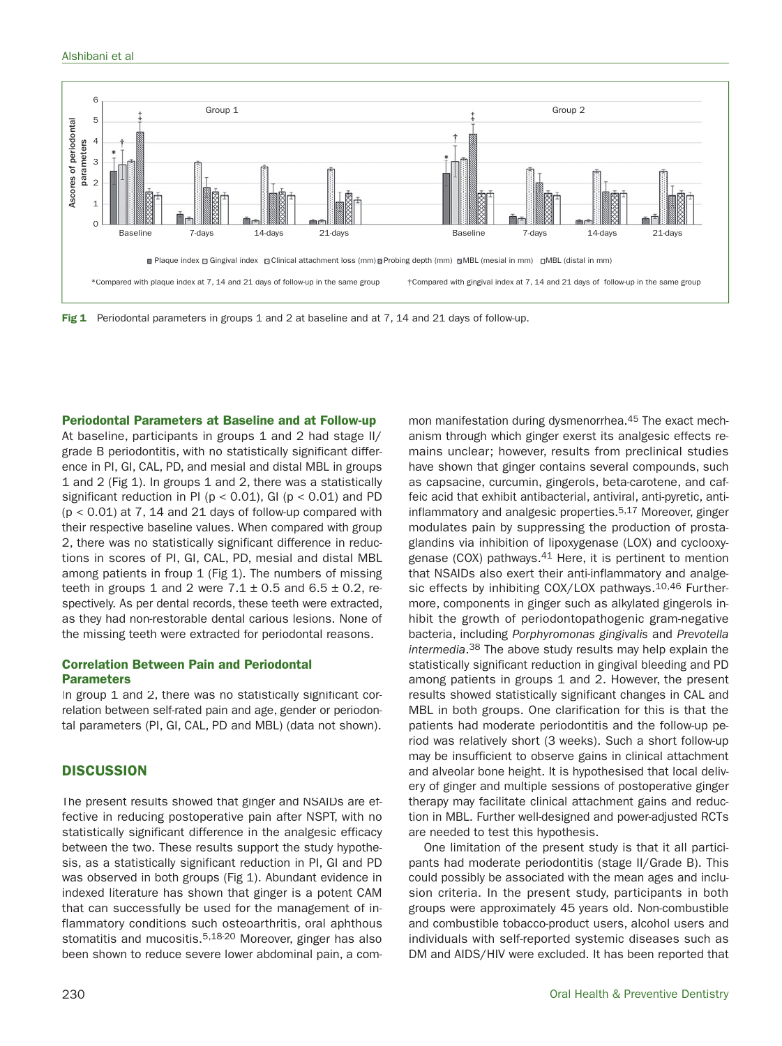





**Periodontal Parameters at Baseline and at Follow-up**

At baseline, participants in groups 1 and 2 had stage II/ grade B periodontitis, with no statistically significant difference in PI, GI, CAL, PD, and mesial and distal MBL in groups 1 and 2 (Fig 1). In groups 1 and 2, there was a statistically significant reduction in PI ( $p < 0.01$ ), GI ( $p < 0.01$ ) and PD  $(p < 0.01)$  at 7, 14 and 21 days of follow-up compared with their respective baseline values. When compared with group 2, there was no statistically significant difference in reductions in scores of PI, GI, CAL, PD, mesial and distal MBL among patients in froup 1 (Fig 1). The numbers of missing teeth in groups 1 and 2 were  $7.1 \pm 0.5$  and  $6.5 \pm 0.2$ , respectively. As per dental records, these teeth were extracted, as they had non-restorable dental carious lesions. None of the missing teeth were extracted for periodontal reasons. **Been shown to reduce shown to reduce severe lower abdominal pain, a com-** Been shown to reduce severe lower abdominal pain, a com-<br>Been shown to reduce severe lower above above above above above above above above above a

# **Correlation Between Pain and Periodontal Parameters**

In group 1 and 2, there was no statistically significant correlation between self-rated pain and age, gender or periodontal parameters (PI, GI, CAL, PD and MBL) (data not shown).

# **DISCUSSION**

The present results showed that ginger and NSAIDs are effective in reducing postoperative pain after NSPT, with no statistically significant difference in the analgesic efficacy between the two. These results support the study hypothesis, as a statistically significant reduction in PI, GI and PD was observed in both groups (Fig 1). Abundant evidence in indexed literature has shown that ginger is a potent CAM that can successfully be used for the management of inflammatory conditions such osteoarthritis, oral aphthous stomatitis and mucositis.<sup>5,18-20</sup> Moreover, ginger has also

mon manifestation during dysmenorrhea.45 The exact mechanism through which ginger exerst its analgesic effects remains unclear; however, results from preclinical studies have shown that ginger contains several compounds, such as capsacine, curcumin, gingerols, beta-carotene, and caffeic acid that exhibit antibacterial, antiviral, anti-pyretic, antiinflammatory and analgesic properties.5,17 Moreover, ginger modulates pain by suppressing the production of prostaglandins via inhibition of lipoxygenase (LOX) and cyclooxygenase (COX) pathways.41 Here, it is pertinent to mention that NSAIDs also exert their anti-inflammatory and analgesic effects by inhibiting COX/LOX pathways.<sup>10,46</sup> Furthermore, components in ginger such as alkylated gingerols inhibit the growth of periodontopathogenic gram-negative bacteria, including Porphyromonas gingivalis and Prevotella intermedia.38 The above study results may help explain the statistically significant reduction in gingival bleeding and PD among patients in groups 1 and 2. However, the present results showed statistically significant changes in CAL and MBL in both groups. One clarification for this is that the patients had moderate periodontitis and the follow-up period was relatively short (3 weeks). Such a short follow-up may be insufficient to observe gains in clinical attachment and alveolar bone height. It is hypothesised that local delivery of ginger and multiple sessions of postoperative ginger therapy may facilitate clinical attachment gains and reduction in MBL. Further well-designed and power-adjusted RCTs are needed to test this hypothesis.

One limitation of the present study is that it all participants had moderate periodontitis (stage II/Grade B). This could possibly be associated with the mean ages and inclusion criteria. In the present study, participants in both groups were approximately 45 years old. Non-combustible and combustible tobacco-product users, alcohol users and individuals with self-reported systemic diseases such as DM and AIDS/HIV were excluded. It has been reported that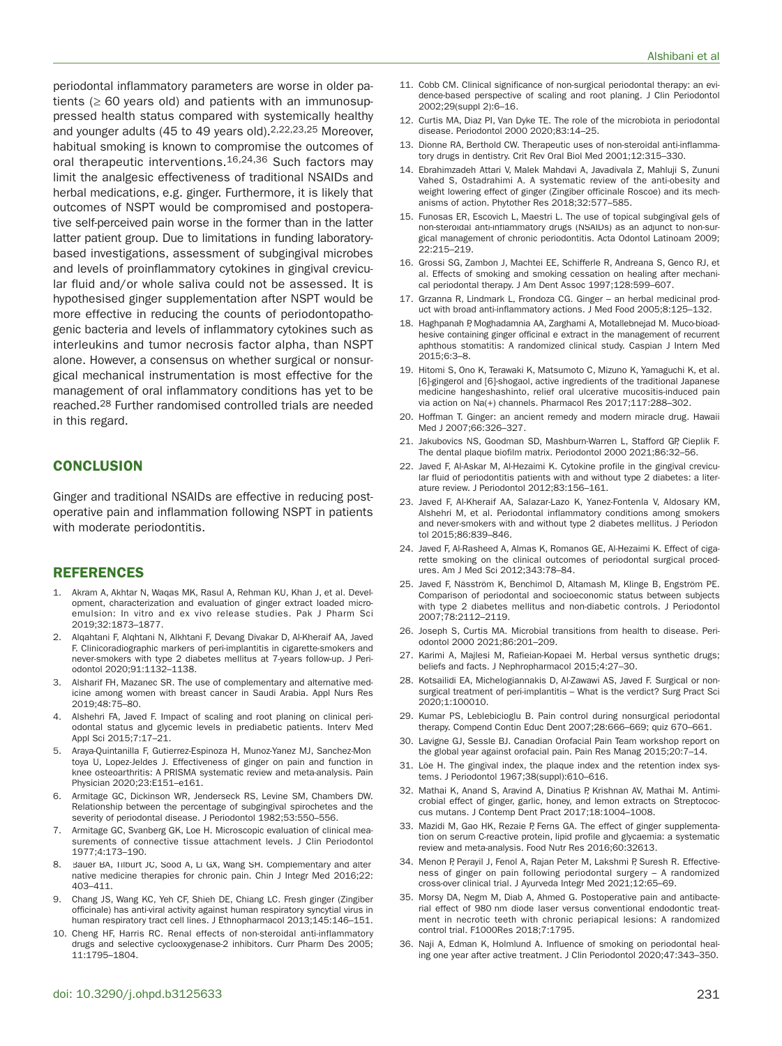periodontal inflammatory parameters are worse in older patients ( $\geq 60$  years old) and patients with an immunosuppressed health status compared with systemically healthy and younger adults (45 to 49 years old).2,22,23,25 Moreover, habitual smoking is known to compromise the outcomes of oral therapeutic interventions.16,24,36 Such factors may limit the analgesic effectiveness of traditional NSAIDs and herbal medications, e.g. ginger. Furthermore, it is likely that outcomes of NSPT would be compromised and postoperative self-perceived pain worse in the former than in the latter latter patient group. Due to limitations in funding laboratorybased investigations, assessment of subgingival microbes and levels of proinflammatory cytokines in gingival crevicular fluid and/or whole saliva could not be assessed. It is hypothesised ginger supplementation after NSPT would be more effective in reducing the counts of periodontopathogenic bacteria and levels of inflammatory cytokines such as interleukins and tumor necrosis factor alpha, than NSPT alone. However, a consensus on whether surgical or nonsurgical mechanical instrumentation is most effective for the management of oral inflammatory conditions has yet to be reached.28 Further randomised controlled trials are needed in this regard.

## **CONCLUSION**

Ginger and traditional NSAIDs are effective in reducing postoperative pain and inflammation following NSPT in patients with moderate periodontitis.

## **REFERENCES**

- 1. Akram A, Akhtar N, Waqas MK, Rasul A, Rehman KU, Khan J, et al. Development, characterization and evaluation of ginger extract loaded microemulsion: In vitro and ex vivo release studies. Pak J Pharm Sci 2019;32:1873–1877.
- 2. Alqahtani F, Alqhtani N, Alkhtani F, Devang Divakar D, Al-Kheraif AA, Javed F. Clinicoradiographic markers of peri-implantitis in cigarette-smokers and never-smokers with type 2 diabetes mellitus at 7-years follow-up. J Periodontol 2020;91:1132–1138.
- Alsharif FH, Mazanec SR. The use of complementary and alternative medicine among women with breast cancer in Saudi Arabia. Appl Nurs Res 2019;48:75–80.
- 4. Alshehri FA, Javed F. Impact of scaling and root planing on clinical periodontal status and glycemic levels in prediabetic patients. Interv Med Appl Sci 2015;7:17–21.
- 5. Araya-Quintanilla F, Gutierrez-Espinoza H, Munoz-Yanez MJ, Sanchez-Montoya U, Lopez-Jeldes J. Effectiveness of ginger on pain and function in knee osteoarthritis: A PRISMA systematic review and meta-analysis. Pain Physician 2020;23:E151–e161.
- 6. Armitage GC, Dickinson WR, Jenderseck RS, Levine SM, Chambers DW. Relationship between the percentage of subgingival spirochetes and the severity of periodontal disease. J Periodontol 1982;53:550–556.
- 7. Armitage GC, Svanberg GK, Loe H. Microscopic evaluation of clinical measurements of connective tissue attachment levels. J Clin Periodontol 1977;4:173–190.
- 8. Bauer BA, Tilburt JC, Sood A, Li GX, Wang SH. Complementary and alternative medicine therapies for chronic pain. Chin J Integr Med 2016;22: 403–411.
- 9. Chang JS, Wang KC, Yeh CF, Shieh DE, Chiang LC. Fresh ginger (Zingiber officinale) has anti-viral activity against human respiratory syncytial virus in human respiratory tract cell lines. J Ethnopharmacol 2013;145:146–151.
- 10. Cheng HF, Harris RC. Renal effects of non-steroidal anti-inflammatory drugs and selective cyclooxygenase-2 inhibitors. Curr Pharm Des 2005; 11:1795–1804.
- 11. Cobb CM. Clinical significance of non-surgical periodontal therapy: an evidence-based perspective of scaling and root planing. J Clin Periodontol 2002;29(suppl 2):6–16.
- 12. Curtis MA, Diaz PI, Van Dyke TE. The role of the microbiota in periodontal disease. Periodontol 2000 2020;83:14–25.
- 13. Dionne RA, Berthold CW. Therapeutic uses of non-steroidal anti-inflammatory drugs in dentistry. Crit Rev Oral Biol Med 2001;12:315–330.
- 14. Ebrahimzadeh Attari V, Malek Mahdavi A, Javadivala Z, Mahluji S, Zununi Vahed S, Ostadrahimi A. A systematic review of the anti-obesity and weight lowering effect of ginger (Zingiber officinale Roscoe) and its mechanisms of action. Phytother Res 2018;32:577–585.
- 15. Funosas ER, Escovich L, Maestri L. The use of topical subgingival gels of non-steroidal anti-inflammatory drugs (NSAIDs) as an adjunct to non-surgical management of chronic periodontitis. Acta Odontol Latinoam 2009; 22:215–219.
- 16. Grossi SG, Zambon J, Machtei EE, Schifferle R, Andreana S, Genco RJ, et al. Effects of smoking and smoking cessation on healing after mechanical periodontal therapy. J Am Dent Assoc 1997;128:599–607.
- 17. Grzanna R, Lindmark L, Frondoza CG. Ginger an herbal medicinal product with broad anti-inflammatory actions. J Med Food 2005;8:125–132.
- 18. Haghpanah P, Moghadamnia AA, Zarghami A, Motallebnejad M. Muco-bioadhesive containing ginger officinal e extract in the management of recurrent aphthous stomatitis: A randomized clinical study. Caspian J Intern Med 2015;6:3–8.
- 19. Hitomi S, Ono K, Terawaki K, Matsumoto C, Mizuno K, Yamaguchi K, et al. [6]-gingerol and [6]-shogaol, active ingredients of the traditional Japanese medicine hangeshashinto, relief oral ulcerative mucositis-induced pain via action on Na(+) channels. Pharmacol Res 2017;117:288–302.
- 20. Hoffman T. Ginger: an ancient remedy and modern miracle drug. Hawaii Med J 2007;66:326–327.
- 21. Jakubovics NS, Goodman SD, Mashburn-Warren L, Stafford GP, Cieplik F. The dental plaque biofilm matrix. Periodontol 2000 2021;86:32–56.
- 22. Javed F, Al-Askar M, Al-Hezaimi K. Cytokine profile in the gingival crevicular fluid of periodontitis patients with and without type 2 diabetes: a literature review. J Periodontol 2012;83:156–161.
- 23. Javed F, Al-Kheraif AA, Salazar-Lazo K, Yanez-Fontenla V, Aldosary KM, Alshehri M, et al. Periodontal inflammatory conditions among smokers and never-smokers with and without type 2 diabetes mellitus. J Periodontol 2015;86:839–846.
- 24. Javed F, Al-Rasheed A, Almas K, Romanos GE, Al-Hezaimi K. Effect of cigarette smoking on the clinical outcomes of periodontal surgical procedures. Am J Med Sci 2012;343:78–84.
- 25. Javed F, Näsström K, Benchimol D, Altamash M, Klinge B, Engström PE. Comparison of periodontal and socioeconomic status between subjects with type 2 diabetes mellitus and non-diabetic controls. J Periodontol 2007;78:2112–2119.
- 26. Joseph S, Curtis MA. Microbial transitions from health to disease. Periodontol 2000 2021;86:201–209.
- 27. Karimi A, Majlesi M, Rafieian-Kopaei M. Herbal versus synthetic drugs; beliefs and facts. J Nephropharmacol 2015;4:27–30.
- 28. Kotsailidi EA, Michelogiannakis D, Al-Zawawi AS, Javed F. Surgical or nonsurgical treatment of peri-implantitis – What is the verdict? Surg Pract Sci 2020;1:100010.
- 29. Kumar PS, Leblebicioglu B. Pain control during nonsurgical periodontal therapy. Compend Contin Educ Dent 2007;28:666–669; quiz 670–661.
- 30. Lavigne GJ, Sessle BJ. Canadian Orofacial Pain Team workshop report on the global year against orofacial pain. Pain Res Manag 2015;20:7–14.
- 31. Löe H. The gingival index, the plaque index and the retention index systems. J Periodontol 1967;38(suppl):610–616.
- 32. Mathai K, Anand S, Aravind A, Dinatius P, Krishnan AV, Mathai M. Antimicrobial effect of ginger, garlic, honey, and lemon extracts on Streptococcus mutans. J Contemp Dent Pract 2017;18:1004–1008.
- 33. Mazidi M, Gao HK, Rezaie P, Ferns GA. The effect of ginger supplementation on serum C-reactive protein, lipid profile and glycaemia: a systematic review and meta-analysis. Food Nutr Res 2016;60:32613.
- 34. Menon P, Perayil J, Fenol A, Rajan Peter M, Lakshmi P, Suresh R. Effectiveness of ginger on pain following periodontal surgery – A randomized cross-over clinical trial. J Ayurveda Integr Med 2021;12:65–69.
- 35. Morsy DA, Negm M, Diab A, Ahmed G. Postoperative pain and antibacterial effect of 980 nm diode laser versus conventional endodontic treatment in necrotic teeth with chronic periapical lesions: A randomized control trial. F1000Res 2018;7:1795.
- 36. Naji A, Edman K, Holmlund A. Influence of smoking on periodontal healing one year after active treatment. J Clin Periodontol 2020;47:343–350.